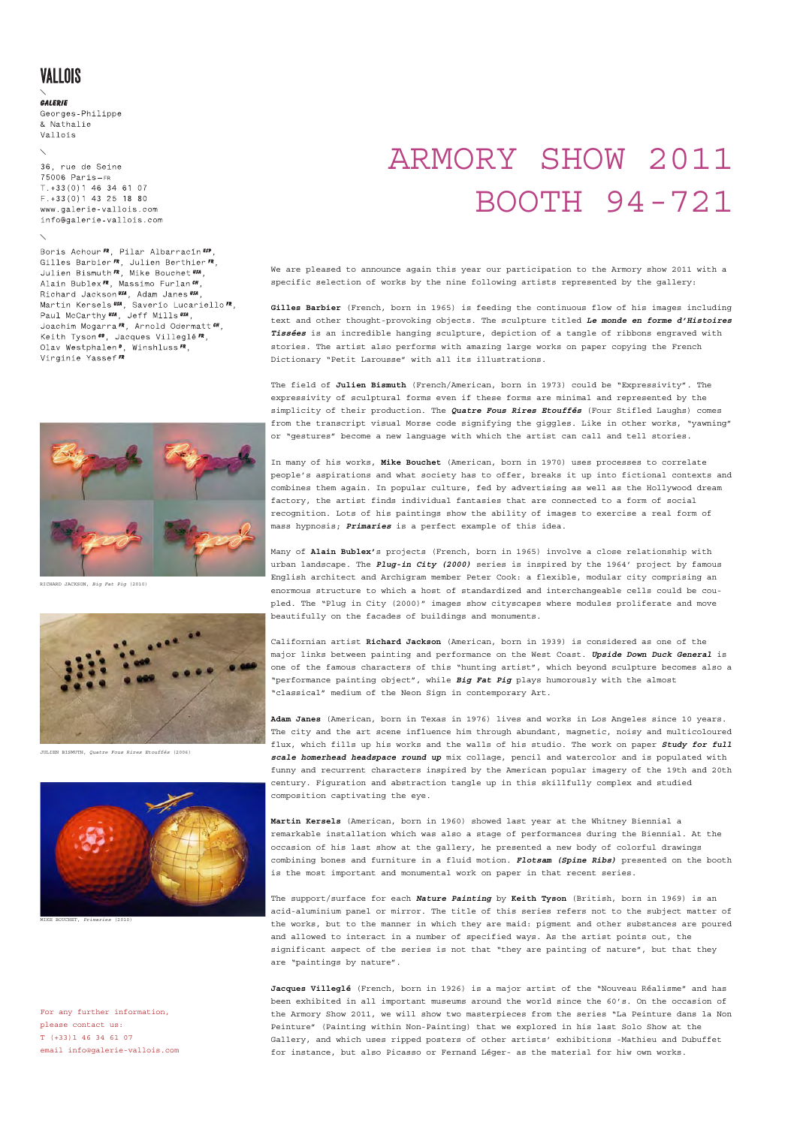## VALLOIS

### GALERIE

Georges-Philippe & Nathalie Vallois

36. rue de Seine  $75006$  Paris-FR  $T.+33(0)146346107$  $F.+33(0)143251880$ www.galerie-vallois.com info@galerie-vallois.com

Boris Achour<sup>FR</sup>, Pilar Albarracin<sup>ESP</sup>, Gilles Barbier **FR**, Julien Berthier **FR**,<br>Julien Bismuth **FR**, Mike Bouchet **USA**, Alain Bublex<sup>FR</sup>, Massimo Furlan<sup>cH</sup>, Richard Jackson USA, Adam Janes USA Martin Kersels USA, Saverio Lucariello FR, Paul McCarthy USA, Jeff Mills USA, Joachim Mogarra FR, Arnold Odermatt & , Keith Tyson 68, Jacques Villeglé FR, Olav Westphalen P, Winshluss FR,<br>Virginie Yassef FR



RICHARD JACKSON, *Big Fat Pig* (2010)



JULIEN BISMUTH, *Quatre Fous Rires Etouffés* (2006)



MIKE BOUCHET, *Primaries* (2010)

For any further information, please contact us: T (+33)1 46 34 61 07 email info@galerie-vallois.com

# ARMORY SHOW 2011 BOOTH 94-721

We are pleased to announce again this year our participation to the Armory show 2011 with a specific selection of works by the nine following artists represented by the gallery:

**Gilles Barbier** (French, born in 1965) is feeding the continuous flow of his images including text and other thought-provoking objects. The sculpture titled *Le monde en forme d'Histoires Tissées* is an incredible hanging sculpture, depiction of a tangle of ribbons engraved with stories. The artist also performs with amazing large works on paper copying the French Dictionary "Petit Larousse" with all its illustrations.

The field of **Julien Bismuth** (French/American, born in 1973) could be "Expressivity". The expressivity of sculptural forms even if these forms are minimal and represented by the simplicity of their production. The *Quatre Fous Rires Etouffés* (Four Stifled Laughs) comes from the transcript visual Morse code signifying the giggles. Like in other works, "yawning" or "gestures" become a new language with which the artist can call and tell stories.

In many of his works, **Mike Bouchet** (American, born in 1970) uses processes to correlate people's aspirations and what society has to offer, breaks it up into fictional contexts and combines them again. In popular culture, fed by advertising as well as the Hollywood dream factory, the artist finds individual fantasies that are connected to a form of social recognition. Lots of his paintings show the ability of images to exercise a real form of mass hypnosis; *Primaries* is a perfect example of this idea.

Many of **Alain Bublex'**s projects (French, born in 1965) involve a close relationship with urban landscape. The *Plug-in City (2000)* series is inspired by the 1964' project by famous English architect and Archigram member Peter Cook: a flexible, modular city comprising an enormous structure to which a host of standardized and interchangeable cells could be coupled. The "Plug in City (2000)" images show cityscapes where modules proliferate and move beautifully on the facades of buildings and monuments.

Californian artist **Richard Jackson** (American, born in 1939) is considered as one of the major links between painting and performance on the West Coast. *Upside Down Duck General* is one of the famous characters of this "hunting artist", which beyond sculpture becomes also a "performance painting object", while *Big Fat Pig* plays humorously with the almost "classical" medium of the Neon Sign in contemporary Art.

**Adam Janes** (American, born in Texas in 1976) lives and works in Los Angeles since 10 years. The city and the art scene influence him through abundant, magnetic, noisy and multicoloured flux, which fills up his works and the walls of his studio. The work on paper *Study for full scale homerhead headspace round up* mix collage, pencil and watercolor and is populated with funny and recurrent characters inspired by the American popular imagery of the 19th and 20th century. Figuration and abstraction tangle up in this skillfully complex and studied composition captivating the eye.

**Martin Kersels** (American, born in 1960) showed last year at the Whitney Biennial a remarkable installation which was also a stage of performances during the Biennial. At the occasion of his last show at the gallery, he presented a new body of colorful drawings combining bones and furniture in a fluid motion. *Flotsam (Spine Ribs)* presented on the booth is the most important and monumental work on paper in that recent series.

The support/surface for each *Nature Painting* by **Keith Tyson** (British, born in 1969) is an acid-aluminium panel or mirror. The title of this series refers not to the subject matter of the works, but to the manner in which they are maid: pigment and other substances are poured and allowed to interact in a number of specified ways. As the artist points out, the significant aspect of the series is not that "they are painting of nature", but that they are "paintings by nature".

**Jacques Villeglé** (French, born in 1926) is a major artist of the "Nouveau Réalisme" and has been exhibited in all important museums around the world since the 60's. On the occasion of the Armory Show 2011, we will show two masterpieces from the series "La Peinture dans la Non Peinture" (Painting within Non-Painting) that we explored in his last Solo Show at the Gallery, and which uses ripped posters of other artists' exhibitions -Mathieu and Dubuffet for instance, but also Picasso or Fernand Léger- as the material for hiw own works.